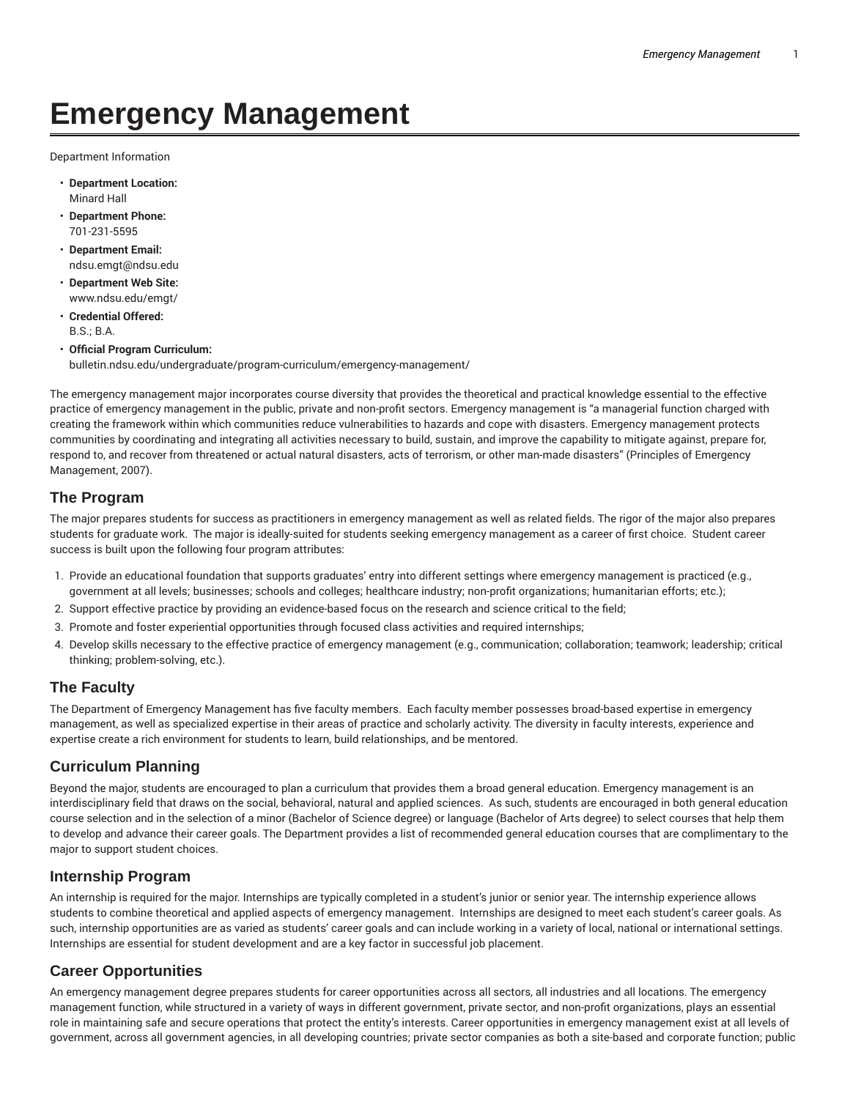# **Emergency Management**

Department Information

- **Department Location:** Minard Hall
- **Department Phone:** 701-231-5595
- **Department Email:** ndsu.emgt@ndsu.edu
- **Department Web Site:** www.ndsu.edu/emgt/
- **Credential Offered:** B.S.; B.A.
- **Official Program Curriculum:** bulletin.ndsu.edu/undergraduate/program-curriculum/emergency-management/

The emergency management major incorporates course diversity that provides the theoretical and practical knowledge essential to the effective practice of emergency management in the public, private and non-profit sectors. Emergency management is "a managerial function charged with creating the framework within which communities reduce vulnerabilities to hazards and cope with disasters. Emergency management protects communities by coordinating and integrating all activities necessary to build, sustain, and improve the capability to mitigate against, prepare for, respond to, and recover from threatened or actual natural disasters, acts of terrorism, or other man-made disasters" (Principles of Emergency Management, 2007).

## **The Program**

The major prepares students for success as practitioners in emergency management as well as related fields. The rigor of the major also prepares students for graduate work. The major is ideally-suited for students seeking emergency management as a career of first choice. Student career success is built upon the following four program attributes:

- 1. Provide an educational foundation that supports graduates' entry into different settings where emergency management is practiced (e.g., government at all levels; businesses; schools and colleges; healthcare industry; non-profit organizations; humanitarian efforts; etc.);
- 2. Support effective practice by providing an evidence-based focus on the research and science critical to the field;
- 3. Promote and foster experiential opportunities through focused class activities and required internships;
- 4. Develop skills necessary to the effective practice of emergency management (e.g., communication; collaboration; teamwork; leadership; critical thinking; problem-solving, etc.).

## **The Faculty**

The Department of Emergency Management has five faculty members. Each faculty member possesses broad-based expertise in emergency management, as well as specialized expertise in their areas of practice and scholarly activity. The diversity in faculty interests, experience and expertise create a rich environment for students to learn, build relationships, and be mentored.

## **Curriculum Planning**

Beyond the major, students are encouraged to plan a curriculum that provides them a broad general education. Emergency management is an interdisciplinary field that draws on the social, behavioral, natural and applied sciences. As such, students are encouraged in both general education course selection and in the selection of a minor (Bachelor of Science degree) or language (Bachelor of Arts degree) to select courses that help them to develop and advance their career goals. The Department provides a list of recommended general education courses that are complimentary to the major to support student choices.

## **Internship Program**

An internship is required for the major. Internships are typically completed in a student's junior or senior year. The internship experience allows students to combine theoretical and applied aspects of emergency management. Internships are designed to meet each student's career goals. As such, internship opportunities are as varied as students' career goals and can include working in a variety of local, national or international settings. Internships are essential for student development and are a key factor in successful job placement.

## **Career Opportunities**

An emergency management degree prepares students for career opportunities across all sectors, all industries and all locations. The emergency management function, while structured in a variety of ways in different government, private sector, and non-profit organizations, plays an essential role in maintaining safe and secure operations that protect the entity's interests. Career opportunities in emergency management exist at all levels of government, across all government agencies, in all developing countries; private sector companies as both a site-based and corporate function; public